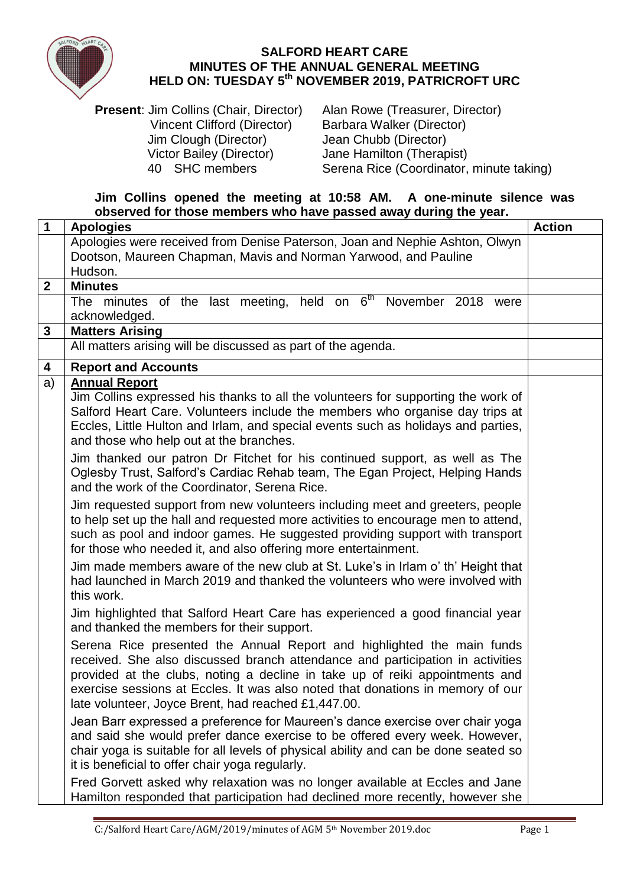

## **SALFORD HEART CARE MINUTES OF THE ANNUAL GENERAL MEETING HELD ON: TUESDAY 5 th NOVEMBER 2019, PATRICROFT URC**

**Present:** Jim Collins (Chair, Director) Alan Rowe (Treasurer, Director) Vincent Clifford (Director) Barbara Walker (Director) Jim Clough (Director) Jean Chubb (Director) Victor Bailey (Director) Jane Hamilton (Therapist)<br>40 SHC members Serena Rice (Coordinator,

Serena Rice (Coordinator, minute taking)

## **Jim Collins opened the meeting at 10:58 AM. A one-minute silence was observed for those members who have passed away during the year.**

| $\mathbf 1$      | <b>Apologies</b>                                                                                                                                                 | <b>Action</b> |
|------------------|------------------------------------------------------------------------------------------------------------------------------------------------------------------|---------------|
|                  | Apologies were received from Denise Paterson, Joan and Nephie Ashton, Olwyn                                                                                      |               |
|                  | Dootson, Maureen Chapman, Mavis and Norman Yarwood, and Pauline                                                                                                  |               |
|                  | Hudson.                                                                                                                                                          |               |
| $\boldsymbol{2}$ | <b>Minutes</b>                                                                                                                                                   |               |
|                  | The minutes of the last meeting, held on $6th$ November 2018 were<br>acknowledged.                                                                               |               |
| 3                | <b>Matters Arising</b>                                                                                                                                           |               |
|                  | All matters arising will be discussed as part of the agenda.                                                                                                     |               |
| 4                | <b>Report and Accounts</b>                                                                                                                                       |               |
| a)               | <b>Annual Report</b>                                                                                                                                             |               |
|                  | Jim Collins expressed his thanks to all the volunteers for supporting the work of                                                                                |               |
|                  | Salford Heart Care. Volunteers include the members who organise day trips at                                                                                     |               |
|                  | Eccles, Little Hulton and Irlam, and special events such as holidays and parties,                                                                                |               |
|                  | and those who help out at the branches.                                                                                                                          |               |
|                  | Jim thanked our patron Dr Fitchet for his continued support, as well as The<br>Oglesby Trust, Salford's Cardiac Rehab team, The Egan Project, Helping Hands      |               |
|                  | and the work of the Coordinator, Serena Rice.                                                                                                                    |               |
|                  | Jim requested support from new volunteers including meet and greeters, people                                                                                    |               |
|                  | to help set up the hall and requested more activities to encourage men to attend,                                                                                |               |
|                  | such as pool and indoor games. He suggested providing support with transport                                                                                     |               |
|                  | for those who needed it, and also offering more entertainment.                                                                                                   |               |
|                  | Jim made members aware of the new club at St. Luke's in Irlam o' th' Height that<br>had launched in March 2019 and thanked the volunteers who were involved with |               |
|                  | this work.                                                                                                                                                       |               |
|                  | Jim highlighted that Salford Heart Care has experienced a good financial year                                                                                    |               |
|                  | and thanked the members for their support.                                                                                                                       |               |
|                  | Serena Rice presented the Annual Report and highlighted the main funds                                                                                           |               |
|                  | received. She also discussed branch attendance and participation in activities                                                                                   |               |
|                  | provided at the clubs, noting a decline in take up of reiki appointments and                                                                                     |               |
|                  | exercise sessions at Eccles. It was also noted that donations in memory of our                                                                                   |               |
|                  | late volunteer, Joyce Brent, had reached £1,447.00.                                                                                                              |               |
|                  | Jean Barr expressed a preference for Maureen's dance exercise over chair yoga                                                                                    |               |
|                  | and said she would prefer dance exercise to be offered every week. However,                                                                                      |               |
|                  | chair yoga is suitable for all levels of physical ability and can be done seated so<br>it is beneficial to offer chair yoga regularly.                           |               |
|                  |                                                                                                                                                                  |               |
|                  | Fred Gorvett asked why relaxation was no longer available at Eccles and Jane<br>Hamilton responded that participation had declined more recently, however she    |               |
|                  |                                                                                                                                                                  |               |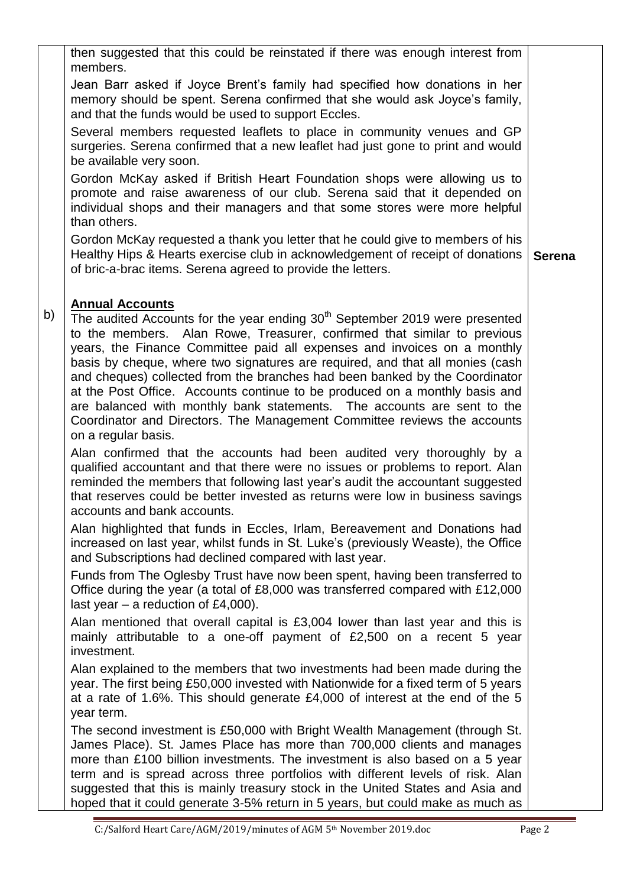|    | then suggested that this could be reinstated if there was enough interest from<br>members.                                                                                                                                                                                                                                                                                                                                                                                                                                                                                                                                                                                                             |               |
|----|--------------------------------------------------------------------------------------------------------------------------------------------------------------------------------------------------------------------------------------------------------------------------------------------------------------------------------------------------------------------------------------------------------------------------------------------------------------------------------------------------------------------------------------------------------------------------------------------------------------------------------------------------------------------------------------------------------|---------------|
|    | Jean Barr asked if Joyce Brent's family had specified how donations in her<br>memory should be spent. Serena confirmed that she would ask Joyce's family,<br>and that the funds would be used to support Eccles.                                                                                                                                                                                                                                                                                                                                                                                                                                                                                       |               |
|    | Several members requested leaflets to place in community venues and GP<br>surgeries. Serena confirmed that a new leaflet had just gone to print and would<br>be available very soon.                                                                                                                                                                                                                                                                                                                                                                                                                                                                                                                   |               |
|    | Gordon McKay asked if British Heart Foundation shops were allowing us to<br>promote and raise awareness of our club. Serena said that it depended on<br>individual shops and their managers and that some stores were more helpful<br>than others.                                                                                                                                                                                                                                                                                                                                                                                                                                                     |               |
|    | Gordon McKay requested a thank you letter that he could give to members of his<br>Healthy Hips & Hearts exercise club in acknowledgement of receipt of donations<br>of bric-a-brac items. Serena agreed to provide the letters.                                                                                                                                                                                                                                                                                                                                                                                                                                                                        | <b>Serena</b> |
| b) | <b>Annual Accounts</b><br>The audited Accounts for the year ending 30 <sup>th</sup> September 2019 were presented<br>to the members. Alan Rowe, Treasurer, confirmed that similar to previous<br>years, the Finance Committee paid all expenses and invoices on a monthly<br>basis by cheque, where two signatures are required, and that all monies (cash<br>and cheques) collected from the branches had been banked by the Coordinator<br>at the Post Office. Accounts continue to be produced on a monthly basis and<br>are balanced with monthly bank statements. The accounts are sent to the<br>Coordinator and Directors. The Management Committee reviews the accounts<br>on a regular basis. |               |
|    | Alan confirmed that the accounts had been audited very thoroughly by a<br>qualified accountant and that there were no issues or problems to report. Alan<br>reminded the members that following last year's audit the accountant suggested<br>that reserves could be better invested as returns were low in business savings<br>accounts and bank accounts.                                                                                                                                                                                                                                                                                                                                            |               |
|    | Alan highlighted that funds in Eccles, Irlam, Bereavement and Donations had<br>increased on last year, whilst funds in St. Luke's (previously Weaste), the Office<br>and Subscriptions had declined compared with last year.                                                                                                                                                                                                                                                                                                                                                                                                                                                                           |               |
|    | Funds from The Oglesby Trust have now been spent, having been transferred to<br>Office during the year (a total of £8,000 was transferred compared with £12,000<br>last year $-$ a reduction of £4,000).                                                                                                                                                                                                                                                                                                                                                                                                                                                                                               |               |
|    | Alan mentioned that overall capital is £3,004 lower than last year and this is<br>mainly attributable to a one-off payment of £2,500 on a recent 5 year<br>investment.                                                                                                                                                                                                                                                                                                                                                                                                                                                                                                                                 |               |
|    | Alan explained to the members that two investments had been made during the<br>year. The first being £50,000 invested with Nationwide for a fixed term of 5 years<br>at a rate of 1.6%. This should generate £4,000 of interest at the end of the 5<br>year term.                                                                                                                                                                                                                                                                                                                                                                                                                                      |               |
|    | The second investment is £50,000 with Bright Wealth Management (through St.<br>James Place). St. James Place has more than 700,000 clients and manages<br>more than £100 billion investments. The investment is also based on a 5 year<br>term and is spread across three portfolios with different levels of risk. Alan<br>suggested that this is mainly treasury stock in the United States and Asia and<br>hoped that it could generate 3-5% return in 5 years, but could make as much as                                                                                                                                                                                                           |               |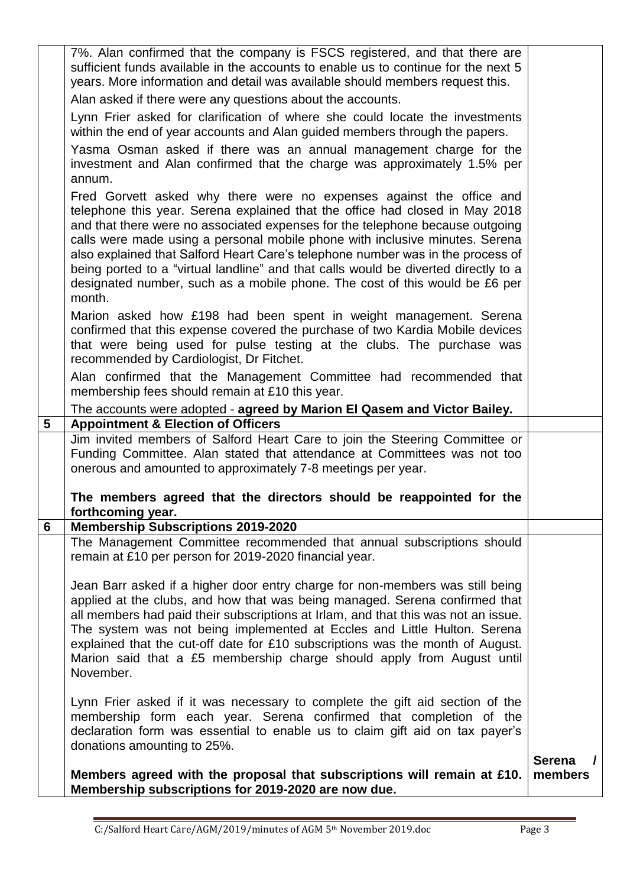|                 | 7%. Alan confirmed that the company is FSCS registered, and that there are                                                                                                                                                                                                                                                                                                                                                                                                                                                                                                               |                          |
|-----------------|------------------------------------------------------------------------------------------------------------------------------------------------------------------------------------------------------------------------------------------------------------------------------------------------------------------------------------------------------------------------------------------------------------------------------------------------------------------------------------------------------------------------------------------------------------------------------------------|--------------------------|
|                 | sufficient funds available in the accounts to enable us to continue for the next 5<br>years. More information and detail was available should members request this.                                                                                                                                                                                                                                                                                                                                                                                                                      |                          |
|                 |                                                                                                                                                                                                                                                                                                                                                                                                                                                                                                                                                                                          |                          |
|                 | Alan asked if there were any questions about the accounts.                                                                                                                                                                                                                                                                                                                                                                                                                                                                                                                               |                          |
|                 | Lynn Frier asked for clarification of where she could locate the investments<br>within the end of year accounts and Alan guided members through the papers.                                                                                                                                                                                                                                                                                                                                                                                                                              |                          |
|                 | Yasma Osman asked if there was an annual management charge for the<br>investment and Alan confirmed that the charge was approximately 1.5% per<br>annum.                                                                                                                                                                                                                                                                                                                                                                                                                                 |                          |
|                 | Fred Gorvett asked why there were no expenses against the office and<br>telephone this year. Serena explained that the office had closed in May 2018<br>and that there were no associated expenses for the telephone because outgoing<br>calls were made using a personal mobile phone with inclusive minutes. Serena<br>also explained that Salford Heart Care's telephone number was in the process of<br>being ported to a "virtual landline" and that calls would be diverted directly to a<br>designated number, such as a mobile phone. The cost of this would be £6 per<br>month. |                          |
|                 | Marion asked how £198 had been spent in weight management. Serena<br>confirmed that this expense covered the purchase of two Kardia Mobile devices<br>that were being used for pulse testing at the clubs. The purchase was<br>recommended by Cardiologist, Dr Fitchet.                                                                                                                                                                                                                                                                                                                  |                          |
|                 | Alan confirmed that the Management Committee had recommended that<br>membership fees should remain at £10 this year.                                                                                                                                                                                                                                                                                                                                                                                                                                                                     |                          |
|                 | The accounts were adopted - agreed by Marion El Qasem and Victor Bailey.                                                                                                                                                                                                                                                                                                                                                                                                                                                                                                                 |                          |
| $5\phantom{.0}$ | <b>Appointment &amp; Election of Officers</b>                                                                                                                                                                                                                                                                                                                                                                                                                                                                                                                                            |                          |
|                 | Jim invited members of Salford Heart Care to join the Steering Committee or<br>Funding Committee. Alan stated that attendance at Committees was not too<br>onerous and amounted to approximately 7-8 meetings per year.                                                                                                                                                                                                                                                                                                                                                                  |                          |
|                 | The members agreed that the directors should be reappointed for the<br>forthcoming year.                                                                                                                                                                                                                                                                                                                                                                                                                                                                                                 |                          |
| 6               | <b>Membership Subscriptions 2019-2020</b>                                                                                                                                                                                                                                                                                                                                                                                                                                                                                                                                                |                          |
|                 | The Management Committee recommended that annual subscriptions should<br>remain at £10 per person for 2019-2020 financial year.                                                                                                                                                                                                                                                                                                                                                                                                                                                          |                          |
|                 | Jean Barr asked if a higher door entry charge for non-members was still being<br>applied at the clubs, and how that was being managed. Serena confirmed that<br>all members had paid their subscriptions at Irlam, and that this was not an issue.<br>The system was not being implemented at Eccles and Little Hulton. Serena<br>explained that the cut-off date for £10 subscriptions was the month of August.<br>Marion said that a £5 membership charge should apply from August until<br>November.                                                                                  |                          |
|                 | Lynn Frier asked if it was necessary to complete the gift aid section of the<br>membership form each year. Serena confirmed that completion of the<br>declaration form was essential to enable us to claim gift aid on tax payer's<br>donations amounting to 25%.                                                                                                                                                                                                                                                                                                                        |                          |
|                 | Members agreed with the proposal that subscriptions will remain at £10.<br>Membership subscriptions for 2019-2020 are now due.                                                                                                                                                                                                                                                                                                                                                                                                                                                           | <b>Serena</b><br>members |
|                 |                                                                                                                                                                                                                                                                                                                                                                                                                                                                                                                                                                                          |                          |